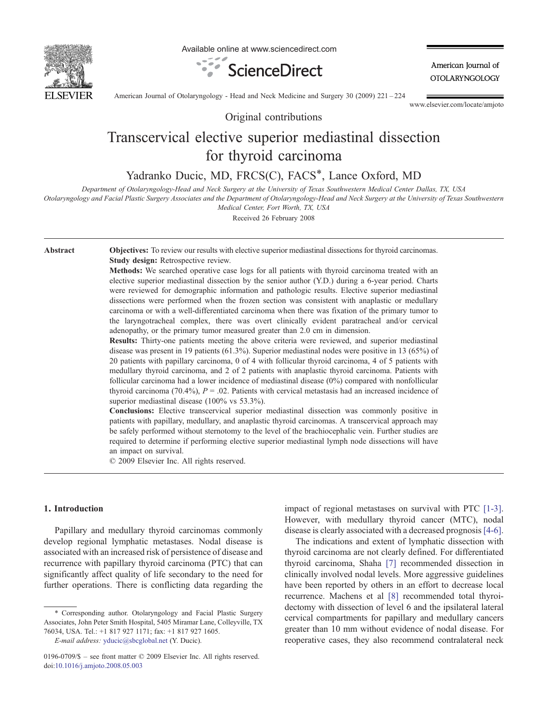

Available online at www.sciencedirect.com



American Journal of **OTOLARYNGOLOGY** 

American Journal of Otolaryngology - Head and Neck Medicine and Surgery 30 (2009) 221–224

www.elsevier.com/locate/amjoto

# Transcervical elective superior mediastinal dissection for thyroid carcinoma

Original contributions

Yadranko Ducic, MD, FRCS(C), FACS<sup>\*</sup>, Lance Oxford, MD

Department of Otolaryngology-Head and Neck Surgery at the University of Texas Southwestern Medical Center Dallas, TX, USA

Otolaryngology and Facial Plastic Surgery Associates and the Department of Otolaryngology-Head and Neck Surgery at the University of Texas Southwestern

Medical Center, Fort Worth, TX, USA

Received 26 February 2008

Abstract **Objectives:** To review our results with elective superior mediastinal dissections for thyroid carcinomas. Study design: Retrospective review.

> Methods: We searched operative case logs for all patients with thyroid carcinoma treated with an elective superior mediastinal dissection by the senior author (Y.D.) during a 6-year period. Charts were reviewed for demographic information and pathologic results. Elective superior mediastinal dissections were performed when the frozen section was consistent with anaplastic or medullary carcinoma or with a well-differentiated carcinoma when there was fixation of the primary tumor to the laryngotracheal complex, there was overt clinically evident paratracheal and/or cervical adenopathy, or the primary tumor measured greater than 2.0 cm in dimension.

> Results: Thirty-one patients meeting the above criteria were reviewed, and superior mediastinal disease was present in 19 patients (61.3%). Superior mediastinal nodes were positive in 13 (65%) of 20 patients with papillary carcinoma, 0 of 4 with follicular thyroid carcinoma, 4 of 5 patients with medullary thyroid carcinoma, and 2 of 2 patients with anaplastic thyroid carcinoma. Patients with follicular carcinoma had a lower incidence of mediastinal disease (0%) compared with nonfollicular thyroid carcinoma (70.4%),  $P = 0.02$ . Patients with cervical metastasis had an increased incidence of superior mediastinal disease (100% vs 53.3%).

> Conclusions: Elective transcervical superior mediastinal dissection was commonly positive in patients with papillary, medullary, and anaplastic thyroid carcinomas. A transcervical approach may be safely performed without sternotomy to the level of the brachiocephalic vein. Further studies are required to determine if performing elective superior mediastinal lymph node dissections will have an impact on survival.

© 2009 Elsevier Inc. All rights reserved.

## 1. Introduction

Papillary and medullary thyroid carcinomas commonly develop regional lymphatic metastases. Nodal disease is associated with an increased risk of persistence of disease and recurrence with papillary thyroid carcinoma (PTC) that can significantly affect quality of life secondary to the need for further operations. There is conflicting data regarding the

E-mail address: [yducic@sbcglobal.net](mailto:yducic@sbcglobal.net) (Y. Ducic).

impact of regional metastases on survival with PTC [\[1-3\]](#page-3-0). However, with medullary thyroid cancer (MTC), nodal disease is clearly associated with a decreased prognosis [\[4-6\]](#page-3-0).

The indications and extent of lymphatic dissection with thyroid carcinoma are not clearly defined. For differentiated thyroid carcinoma, Shaha [\[7\]](#page-3-0) recommended dissection in clinically involved nodal levels. More aggressive guidelines have been reported by others in an effort to decrease local recurrence. Machens et al [\[8\]](#page-3-0) recommended total thyroidectomy with dissection of level 6 and the ipsilateral lateral cervical compartments for papillary and medullary cancers greater than 10 mm without evidence of nodal disease. For reoperative cases, they also recommend contralateral neck

<sup>⁎</sup> Corresponding author. Otolaryngology and Facial Plastic Surgery Associates, John Peter Smith Hospital, 5405 Miramar Lane, Colleyville, TX 76034, USA. Tel.: +1 817 927 1171; fax: +1 817 927 1605.

<sup>0196-0709/\$</sup> – see front matter © 2009 Elsevier Inc. All rights reserved. doi[:10.1016/j.amjoto.2008.05.003](http://dx.doi.org/10.1016/j.amjoto.2008.05.003)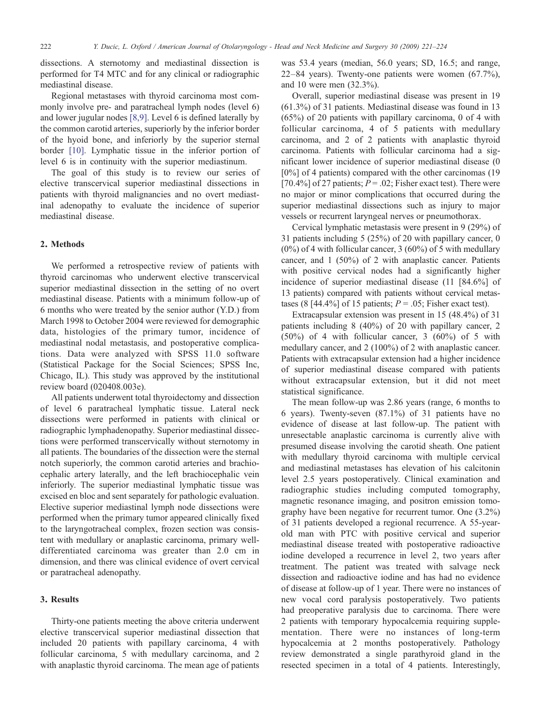dissections. A sternotomy and mediastinal dissection is performed for T4 MTC and for any clinical or radiographic mediastinal disease.

Regional metastases with thyroid carcinoma most commonly involve pre- and paratracheal lymph nodes (level 6) and lower jugular nodes [\[8,9\].](#page-3-0) Level 6 is defined laterally by the common carotid arteries, superiorly by the inferior border of the hyoid bone, and inferiorly by the superior sternal border [\[10\].](#page-3-0) Lymphatic tissue in the inferior portion of level 6 is in continuity with the superior mediastinum.

The goal of this study is to review our series of elective transcervical superior mediastinal dissections in patients with thyroid malignancies and no overt mediastinal adenopathy to evaluate the incidence of superior mediastinal disease.

## 2. Methods

We performed a retrospective review of patients with thyroid carcinomas who underwent elective transcervical superior mediastinal dissection in the setting of no overt mediastinal disease. Patients with a minimum follow-up of 6 months who were treated by the senior author (Y.D.) from March 1998 to October 2004 were reviewed for demographic data, histologies of the primary tumor, incidence of mediastinal nodal metastasis, and postoperative complications. Data were analyzed with SPSS 11.0 software (Statistical Package for the Social Sciences; SPSS Inc, Chicago, IL). This study was approved by the institutional review board (020408.003e).

All patients underwent total thyroidectomy and dissection of level 6 paratracheal lymphatic tissue. Lateral neck dissections were performed in patients with clinical or radiographic lymphadenopathy. Superior mediastinal dissections were performed transcervically without sternotomy in all patients. The boundaries of the dissection were the sternal notch superiorly, the common carotid arteries and brachiocephalic artery laterally, and the left brachiocephalic vein inferiorly. The superior mediastinal lymphatic tissue was excised en bloc and sent separately for pathologic evaluation. Elective superior mediastinal lymph node dissections were performed when the primary tumor appeared clinically fixed to the laryngotracheal complex, frozen section was consistent with medullary or anaplastic carcinoma, primary welldifferentiated carcinoma was greater than 2.0 cm in dimension, and there was clinical evidence of overt cervical or paratracheal adenopathy.

## 3. Results

Thirty-one patients meeting the above criteria underwent elective transcervical superior mediastinal dissection that included 20 patients with papillary carcinoma, 4 with follicular carcinoma, 5 with medullary carcinoma, and 2 with anaplastic thyroid carcinoma. The mean age of patients was 53.4 years (median, 56.0 years; SD, 16.5; and range, 22–84 years). Twenty-one patients were women (67.7%), and 10 were men (32.3%).

Overall, superior mediastinal disease was present in 19 (61.3%) of 31 patients. Mediastinal disease was found in 13 (65%) of 20 patients with papillary carcinoma, 0 of 4 with follicular carcinoma, 4 of 5 patients with medullary carcinoma, and 2 of 2 patients with anaplastic thyroid carcinoma. Patients with follicular carcinoma had a significant lower incidence of superior mediastinal disease (0 [0%] of 4 patients) compared with the other carcinomas (19 [70.4%] of 27 patients;  $P = .02$ ; Fisher exact test). There were no major or minor complications that occurred during the superior mediastinal dissections such as injury to major vessels or recurrent laryngeal nerves or pneumothorax.

Cervical lymphatic metastasis were present in 9 (29%) of 31 patients including 5 (25%) of 20 with papillary cancer, 0  $(0\%)$  of 4 with follicular cancer, 3  $(60\%)$  of 5 with medullary cancer, and 1 (50%) of 2 with anaplastic cancer. Patients with positive cervical nodes had a significantly higher incidence of superior mediastinal disease (11 [84.6%] of 13 patients) compared with patients without cervical metastases (8 [44.4%] of 15 patients;  $P = .05$ ; Fisher exact test).

Extracapsular extension was present in 15 (48.4%) of 31 patients including 8 (40%) of 20 with papillary cancer, 2 (50%) of 4 with follicular cancer, 3 (60%) of 5 with medullary cancer, and 2 (100%) of 2 with anaplastic cancer. Patients with extracapsular extension had a higher incidence of superior mediastinal disease compared with patients without extracapsular extension, but it did not meet statistical significance.

The mean follow-up was 2.86 years (range, 6 months to 6 years). Twenty-seven (87.1%) of 31 patients have no evidence of disease at last follow-up. The patient with unresectable anaplastic carcinoma is currently alive with presumed disease involving the carotid sheath. One patient with medullary thyroid carcinoma with multiple cervical and mediastinal metastases has elevation of his calcitonin level 2.5 years postoperatively. Clinical examination and radiographic studies including computed tomography, magnetic resonance imaging, and positron emission tomography have been negative for recurrent tumor. One (3.2%) of 31 patients developed a regional recurrence. A 55-yearold man with PTC with positive cervical and superior mediastinal disease treated with postoperative radioactive iodine developed a recurrence in level 2, two years after treatment. The patient was treated with salvage neck dissection and radioactive iodine and has had no evidence of disease at follow-up of 1 year. There were no instances of new vocal cord paralysis postoperatively. Two patients had preoperative paralysis due to carcinoma. There were 2 patients with temporary hypocalcemia requiring supplementation. There were no instances of long-term hypocalcemia at 2 months postoperatively. Pathology review demonstrated a single parathyroid gland in the resected specimen in a total of 4 patients. Interestingly,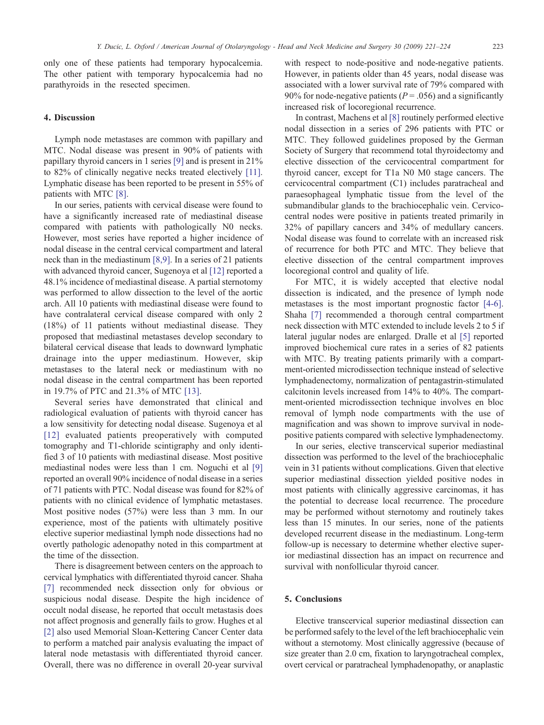only one of these patients had temporary hypocalcemia. The other patient with temporary hypocalcemia had no parathyroids in the resected specimen.

#### 4. Discussion

Lymph node metastases are common with papillary and MTC. Nodal disease was present in 90% of patients with papillary thyroid cancers in 1 series [\[9\]](#page-3-0) and is present in 21% to 82% of clinically negative necks treated electively [\[11\]](#page-3-0). Lymphatic disease has been reported to be present in 55% of patients with MTC [\[8\].](#page-3-0)

In our series, patients with cervical disease were found to have a significantly increased rate of mediastinal disease compared with patients with pathologically N0 necks. However, most series have reported a higher incidence of nodal disease in the central cervical compartment and lateral neck than in the mediastinum [\[8,9\].](#page-3-0) In a series of 21 patients with advanced thyroid cancer, Sugenoya et al [\[12\]](#page-3-0) reported a 48.1% incidence of mediastinal disease. A partial sternotomy was performed to allow dissection to the level of the aortic arch. All 10 patients with mediastinal disease were found to have contralateral cervical disease compared with only 2 (18%) of 11 patients without mediastinal disease. They proposed that mediastinal metastases develop secondary to bilateral cervical disease that leads to downward lymphatic drainage into the upper mediastinum. However, skip metastases to the lateral neck or mediastinum with no nodal disease in the central compartment has been reported in 19.7% of PTC and 21.3% of MTC [\[13\].](#page-3-0)

Several series have demonstrated that clinical and radiological evaluation of patients with thyroid cancer has a low sensitivity for detecting nodal disease. Sugenoya et al [\[12\]](#page-3-0) evaluated patients preoperatively with computed tomography and T1-chloride scintigraphy and only identified 3 of 10 patients with mediastinal disease. Most positive mediastinal nodes were less than 1 cm. Noguchi et al [\[9\]](#page-3-0) reported an overall 90% incidence of nodal disease in a series of 71 patients with PTC. Nodal disease was found for 82% of patients with no clinical evidence of lymphatic metastases. Most positive nodes (57%) were less than 3 mm. In our experience, most of the patients with ultimately positive elective superior mediastinal lymph node dissections had no overtly pathologic adenopathy noted in this compartment at the time of the dissection.

There is disagreement between centers on the approach to cervical lymphatics with differentiated thyroid cancer. Shaha [\[7\]](#page-3-0) recommended neck dissection only for obvious or suspicious nodal disease. Despite the high incidence of occult nodal disease, he reported that occult metastasis does not affect prognosis and generally fails to grow. Hughes et al [\[2\]](#page-3-0) also used Memorial Sloan-Kettering Cancer Center data to perform a matched pair analysis evaluating the impact of lateral node metastasis with differentiated thyroid cancer. Overall, there was no difference in overall 20-year survival

with respect to node-positive and node-negative patients. However, in patients older than 45 years, nodal disease was associated with a lower survival rate of 79% compared with 90% for node-negative patients ( $P = .056$ ) and a significantly increased risk of locoregional recurrence.

In contrast, Machens et al [\[8\]](#page-3-0) routinely performed elective nodal dissection in a series of 296 patients with PTC or MTC. They followed guidelines proposed by the German Society of Surgery that recommend total thyroidectomy and elective dissection of the cervicocentral compartment for thyroid cancer, except for T1a N0 M0 stage cancers. The cervicocentral compartment (C1) includes paratracheal and paraesophageal lymphatic tissue from the level of the submandibular glands to the brachiocephalic vein. Cervicocentral nodes were positive in patients treated primarily in 32% of papillary cancers and 34% of medullary cancers. Nodal disease was found to correlate with an increased risk of recurrence for both PTC and MTC. They believe that elective dissection of the central compartment improves locoregional control and quality of life.

For MTC, it is widely accepted that elective nodal dissection is indicated, and the presence of lymph node metastases is the most important prognostic factor [\[4-6\]](#page-3-0). Shaha [\[7\]](#page-3-0) recommended a thorough central compartment neck dissection with MTC extended to include levels 2 to 5 if lateral jugular nodes are enlarged. Dralle et al [\[5\]](#page-3-0) reported improved biochemical cure rates in a series of 82 patients with MTC. By treating patients primarily with a compartment-oriented microdissection technique instead of selective lymphadenectomy, normalization of pentagastrin-stimulated calcitonin levels increased from 14% to 40%. The compartment-oriented microdissection technique involves en bloc removal of lymph node compartments with the use of magnification and was shown to improve survival in nodepositive patients compared with selective lymphadenectomy.

In our series, elective transcervical superior mediastinal dissection was performed to the level of the brachiocephalic vein in 31 patients without complications. Given that elective superior mediastinal dissection yielded positive nodes in most patients with clinically aggressive carcinomas, it has the potential to decrease local recurrence. The procedure may be performed without sternotomy and routinely takes less than 15 minutes. In our series, none of the patients developed recurrent disease in the mediastinum. Long-term follow-up is necessary to determine whether elective superior mediastinal dissection has an impact on recurrence and survival with nonfollicular thyroid cancer.

#### 5. Conclusions

Elective transcervical superior mediastinal dissection can be performed safely to the level of the left brachiocephalic vein without a sternotomy. Most clinically aggressive (because of size greater than 2.0 cm, fixation to laryngotracheal complex, overt cervical or paratracheal lymphadenopathy, or anaplastic